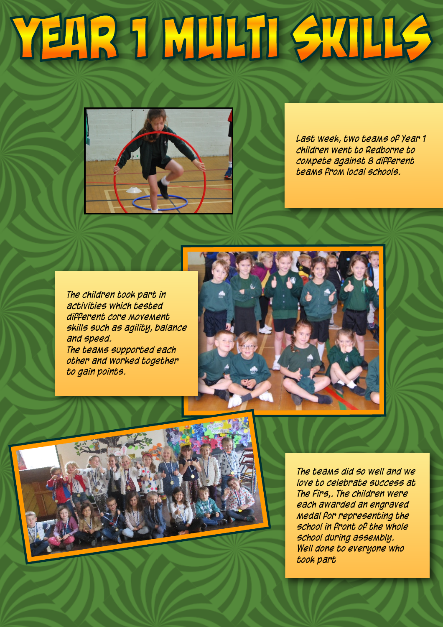## YEAR 1 MULTI SKILLS



*Last week, two teams of Year 1 children went to Redborne to compete against 8 different teams from local schools.*

*The children took part in activities which tested different core movement skills such as agility, balance and speed. The teams supported each other and worked together to gain points.*





*The teams did so well and we love to celebrate success at The Firs,. The children were each awarded an engraved medal for representing the school in front of the whole school during assembly. Well done to everyone who took part*